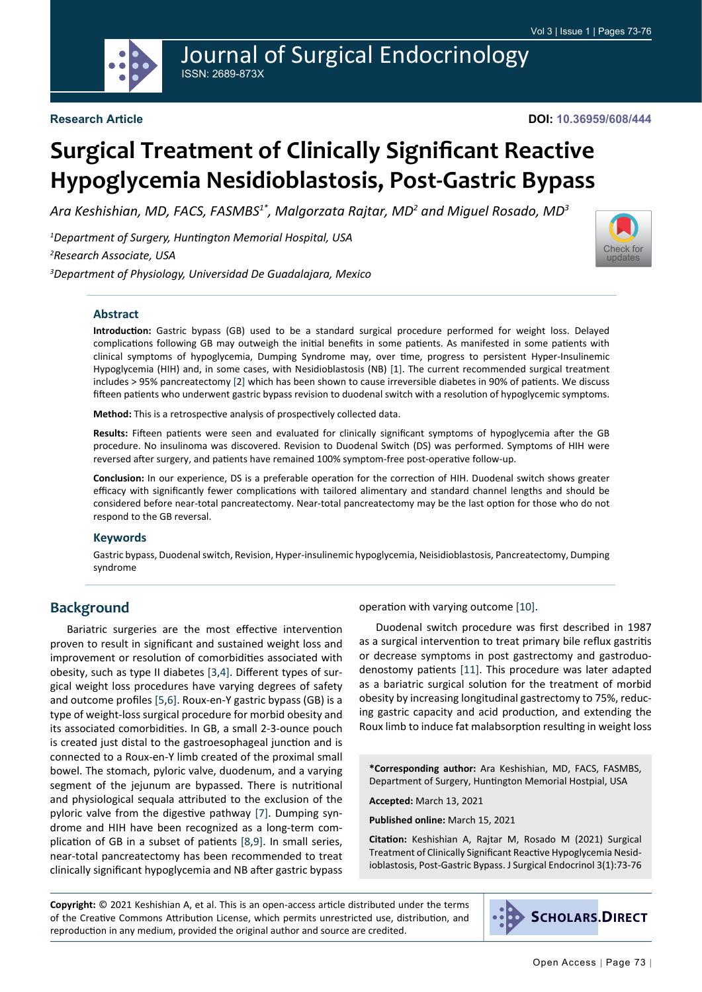

[Check for](http://crossmark.crossref.org/dialog/?doi=10.36959/608/444&domain=pdf) updates

# **Surgical Treatment of Clinically Significant Reactive Hypoglycemia Nesidioblastosis, Post-Gastric Bypass**

*Ara Keshishian, MD, FACS, FASMBS1\*, Malgorzata Rajtar, MD2 and Miguel Rosado, MD3*

*1 Department of Surgery, Huntington Memorial Hospital, USA 2 Research Associate, USA*

*3 Department of Physiology, Universidad De Guadalajara, Mexico*

#### **Abstract**

**Introduction:** Gastric bypass (GB) used to be a standard surgical procedure performed for weight loss. Delayed complications following GB may outweigh the initial benefits in some patients. As manifested in some patients with clinical symptoms of hypoglycemia, Dumping Syndrome may, over time, progress to persistent Hyper-Insulinemic Hypoglycemia (HIH) and, in some cases, with Nesidioblastosis (NB) [1]. The current recommended surgical treatment includes > 95% pancreatectomy [2] which has been shown to cause irreversible diabetes in 90% of patients. We discuss fifteen patients who underwent gastric bypass revision to duodenal switch with a resolution of hypoglycemic symptoms.

**Method:** This is a retrospective analysis of prospectively collected data.

**Results:** Fifteen patients were seen and evaluated for clinically significant symptoms of hypoglycemia after the GB procedure. No insulinoma was discovered. Revision to Duodenal Switch (DS) was performed. Symptoms of HIH were reversed after surgery, and patients have remained 100% symptom-free post-operative follow-up.

**Conclusion:** In our experience, DS is a preferable operation for the correction of HIH. Duodenal switch shows greater efficacy with significantly fewer complications with tailored alimentary and standard channel lengths and should be considered before near-total pancreatectomy. Near-total pancreatectomy may be the last option for those who do not respond to the GB reversal.

#### **Keywords**

Gastric bypass, Duodenal switch, Revision, Hyper-insulinemic hypoglycemia, Neisidioblastosis, Pancreatectomy, Dumping syndrome

#### **Background**

Bariatric surgeries are the most effective intervention proven to result in significant and sustained weight loss and improvement or resolution of comorbidities associated with obesity, such as type II diabetes [\[3](#page-3-0),[4\]](#page-3-1). Different types of surgical weight loss procedures have varying degrees of safety and outcome profiles [\[5](#page-3-2),[6\]](#page-3-3). Roux-en-Y gastric bypass (GB) is a type of weight-loss surgical procedure for morbid obesity and its associated comorbidities. In GB, a small 2-3-ounce pouch is created just distal to the gastroesophageal junction and is connected to a Roux-en-Y limb created of the proximal small bowel. The stomach, pyloric valve, duodenum, and a varying segment of the jejunum are bypassed. There is nutritional and physiological sequala attributed to the exclusion of the pyloric valve from the digestive pathway [\[7](#page-3-4)]. Dumping syndrome and HIH have been recognized as a long-term complication of GB in a subset of patients [\[8](#page-3-5),[9\]](#page-3-6). In small series, near-total pancreatectomy has been recommended to treat clinically significant hypoglycemia and NB after gastric bypass

operation with varying outcome [[10\]](#page-3-7).

Duodenal switch procedure was first described in 1987 as a surgical intervention to treat primary bile reflux gastritis or decrease symptoms in post gastrectomy and gastroduodenostomy patients [\[11\]](#page-3-8). This procedure was later adapted as a bariatric surgical solution for the treatment of morbid obesity by increasing longitudinal gastrectomy to 75%, reducing gastric capacity and acid production, and extending the Roux limb to induce fat malabsorption resulting in weight loss

**\*Corresponding author:** Ara Keshishian, MD, FACS, FASMBS, Department of Surgery, Huntington Memorial Hostpial, USA

**Accepted:** March 13, 2021

**Published online:** March 15, 2021

**Citation:** Keshishian A, Rajtar M, Rosado M (2021) Surgical Treatment of Clinically Significant Reactive Hypoglycemia Nesidioblastosis, Post-Gastric Bypass. J Surgical Endocrinol 3(1):73-76

**Copyright:** © 2021 Keshishian A, et al. This is an open-access article distributed under the terms of the Creative Commons Attribution License, which permits unrestricted use, distribution, and reproduction in any medium, provided the original author and source are credited.

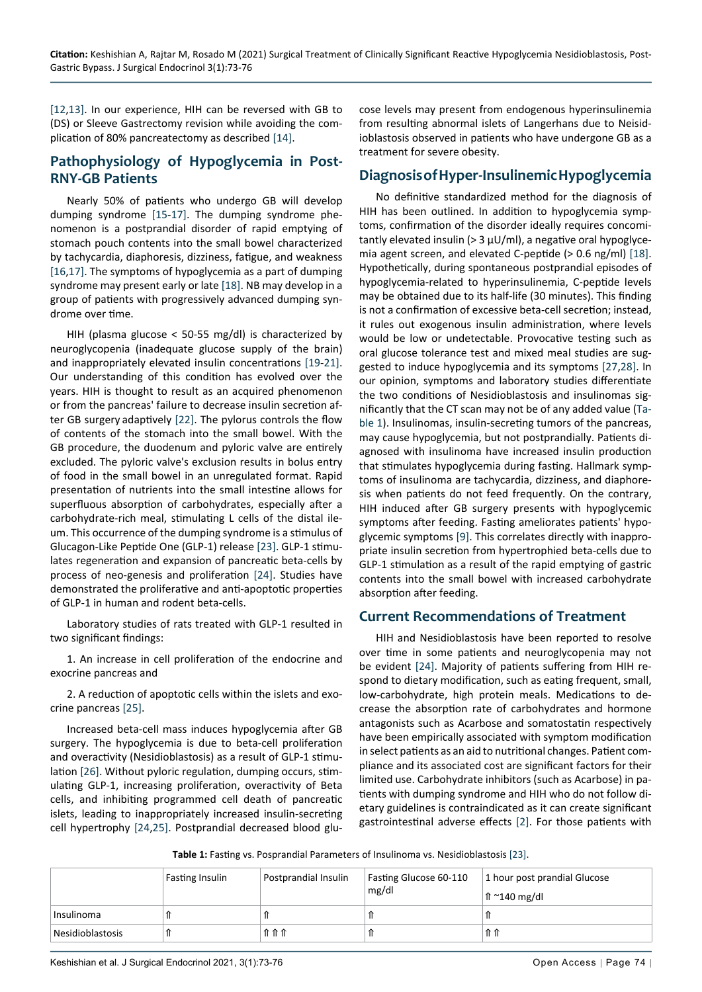[[12,](#page-3-14)[13](#page-3-15)]. In our experience, HIH can be reversed with GB to (DS) or Sleeve Gastrectomy revision while avoiding the complication of 80% pancreatectomy as described [[14\]](#page-3-16).

## **Pathophysiology of Hypoglycemia in Post-RNY-GB Patients**

Nearly 50% of patients who undergo GB will develop dumping syndrome [[15](#page-3-17)-[17](#page-3-18)]. The dumping syndrome phenomenon is a postprandial disorder of rapid emptying of stomach pouch contents into the small bowel characterized by tachycardia, diaphoresis, dizziness, fatigue, and weakness [[16](#page-3-19),[17](#page-3-18)]. The symptoms of hypoglycemia as a part of dumping syndrome may present early or late [[18](#page-3-9)]. NB may develop in a group of patients with progressively advanced dumping syndrome over time.

HIH (plasma glucose < 50-55 mg/dl) is characterized by neuroglycopenia (inadequate glucose supply of the brain) and inappropriately elevated insulin concentrations [[19-](#page-3-20)[21\]](#page-3-21). Our understanding of this condition has evolved over the years. HIH is thought to result as an acquired phenomenon or from the pancreas' failure to decrease insulin secretion after GB surgery adaptively [\[22\]](#page-3-22). The pylorus controls the flow of contents of the stomach into the small bowel. With the GB procedure, the duodenum and pyloric valve are entirely excluded. The pyloric valve's exclusion results in bolus entry of food in the small bowel in an unregulated format. Rapid presentation of nutrients into the small intestine allows for superfluous absorption of carbohydrates, especially after a carbohydrate-rich meal, stimulating L cells of the distal ileum. This occurrence of the dumping syndrome is a stimulus of Glucagon-Like Peptide One (GLP-1) release [[23](#page-3-23)]. GLP-1 stimulates regeneration and expansion of pancreatic beta-cells by process of neo-genesis and proliferation [\[24](#page-3-12)]. Studies have demonstrated the proliferative and anti-apoptotic properties of GLP-1 in human and rodent beta-cells.

Laboratory studies of rats treated with GLP-1 resulted in two significant findings:

1. An increase in cell proliferation of the endocrine and exocrine pancreas and

2. A reduction of apoptotic cells within the islets and exocrine pancreas [\[25](#page-3-24)].

Increased beta-cell mass induces hypoglycemia after GB surgery. The hypoglycemia is due to beta-cell proliferation and overactivity (Nesidioblastosis) as a result of GLP-1 stimulation [[26](#page-3-25)]. Without pyloric regulation, dumping occurs, stimulating GLP-1, increasing proliferation, overactivity of Beta cells, and inhibiting programmed cell death of pancreatic islets, leading to inappropriately increased insulin-secreting cell hypertrophy [[24](#page-3-12)[,25\]](#page-3-24). Postprandial decreased blood glucose levels may present from endogenous hyperinsulinemia from resulting abnormal islets of Langerhans due to Neisidioblastosis observed in patients who have undergone GB as a treatment for severe obesity.

#### **Diagnosis of Hyper-Insulinemic Hypoglycemia**

No definitive standardized method for the diagnosis of HIH has been outlined. In addition to hypoglycemia symptoms, confirmation of the disorder ideally requires concomitantly elevated insulin ( $>$  3  $\mu$ U/ml), a negative oral hypoglycemia agent screen, and elevated C-peptide (> 0.6 ng/ml) [\[18](#page-3-9)]. Hypothetically, during spontaneous postprandial episodes of hypoglycemia-related to hyperinsulinemia, C-peptide levels may be obtained due to its half-life (30 minutes). This finding is not a confirmation of excessive beta-cell secretion; instead, it rules out exogenous insulin administration, where levels would be low or undetectable. Provocative testing such as oral glucose tolerance test and mixed meal studies are suggested to induce hypoglycemia and its symptoms [[27](#page-3-10)[,28\]](#page-3-11). In our opinion, symptoms and laboratory studies differentiate the two conditions of Nesidioblastosis and insulinomas significantly that the CT scan may not be of any added value ([Ta](#page-1-0)[ble 1\)](#page-1-0). Insulinomas, insulin-secreting tumors of the pancreas, may cause hypoglycemia, but not postprandially. Patients diagnosed with insulinoma have increased insulin production that stimulates hypoglycemia during fasting. Hallmark symptoms of insulinoma are tachycardia, dizziness, and diaphoresis when patients do not feed frequently. On the contrary, HIH induced after GB surgery presents with hypoglycemic symptoms after feeding. Fasting ameliorates patients' hypoglycemic symptoms [[9](#page-3-6)]. This correlates directly with inappropriate insulin secretion from hypertrophied beta-cells due to GLP-1 stimulation as a result of the rapid emptying of gastric contents into the small bowel with increased carbohydrate absorption after feeding.

#### **Current Recommendations of Treatment**

HIH and Nesidioblastosis have been reported to resolve over time in some patients and neuroglycopenia may not be evident [\[24\]](#page-3-12). Majority of patients suffering from HIH respond to dietary modification, such as eating frequent, small, low-carbohydrate, high protein meals. Medications to decrease the absorption rate of carbohydrates and hormone antagonists such as Acarbose and somatostatin respectively have been empirically associated with symptom modification in select patients as an aid to nutritional changes. Patient compliance and its associated cost are significant factors for their limited use. Carbohydrate inhibitors (such as Acarbose) in patients with dumping syndrome and HIH who do not follow dietary guidelines is contraindicated as it can create significant gastrointestinal adverse effects [[2\]](#page-3-13). For those patients with

<span id="page-1-0"></span>**Table 1:** Fasting vs. Posprandial Parameters of Insulinoma vs. Nesidioblastosis [[23\]](#page-3-23).

|                  | Fasting Insulin | Postprandial Insulin | Fasting Glucose 60-110<br>mg/dl | 1 hour post prandial Glucose<br>$\ln$ ~140 mg/dl |
|------------------|-----------------|----------------------|---------------------------------|--------------------------------------------------|
| Insulinoma       |                 |                      |                                 |                                                  |
| Nesidioblastosis |                 | 11 11 11             |                                 | 11 11                                            |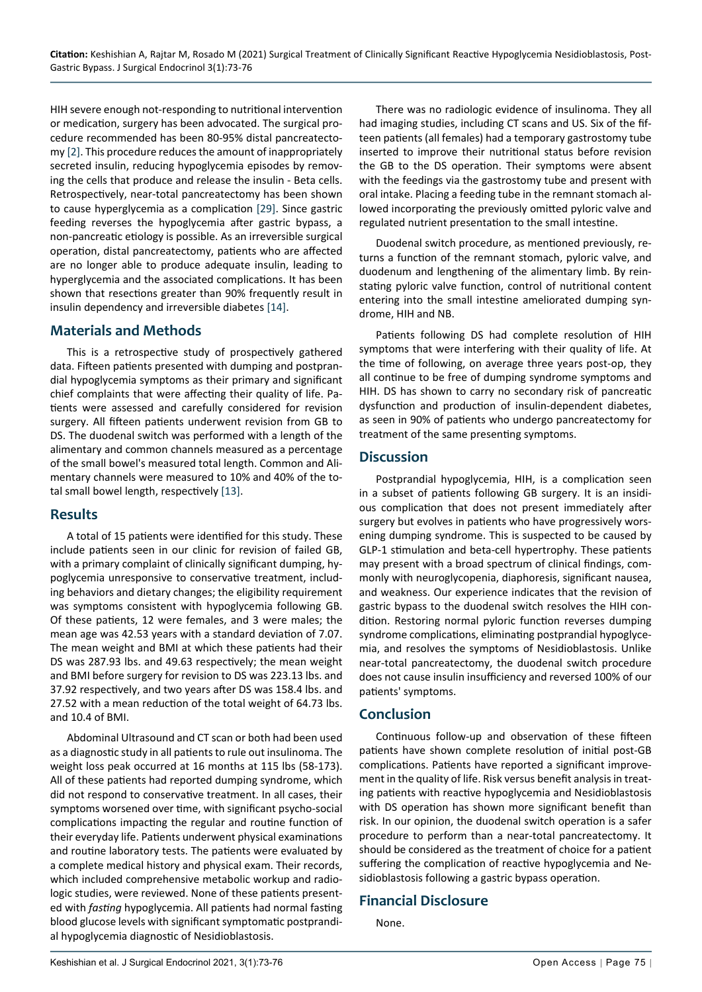HIH severe enough not-responding to nutritional intervention or medication, surgery has been advocated. The surgical procedure recommended has been 80-95% distal pancreatectomy [[2](#page-3-13)]. This procedure reduces the amount of inappropriately secreted insulin, reducing hypoglycemia episodes by removing the cells that produce and release the insulin - Beta cells. Retrospectively, near-total pancreatectomy has been shown to cause hyperglycemia as a complication [[29\]](#page-3-26). Since gastric feeding reverses the hypoglycemia after gastric bypass, a non-pancreatic etiology is possible. As an irreversible surgical operation, distal pancreatectomy, patients who are affected are no longer able to produce adequate insulin, leading to hyperglycemia and the associated complications. It has been shown that resections greater than 90% frequently result in insulin dependency and irreversible diabetes [\[14\]](#page-3-16).

## **Materials and Methods**

This is a retrospective study of prospectively gathered data. Fifteen patients presented with dumping and postprandial hypoglycemia symptoms as their primary and significant chief complaints that were affecting their quality of life. Patients were assessed and carefully considered for revision surgery. All fifteen patients underwent revision from GB to DS. The duodenal switch was performed with a length of the alimentary and common channels measured as a percentage of the small bowel's measured total length. Common and Alimentary channels were measured to 10% and 40% of the total small bowel length, respectively [[13\]](#page-3-15).

#### **Results**

A total of 15 patients were identified for this study. These include patients seen in our clinic for revision of failed GB, with a primary complaint of clinically significant dumping, hypoglycemia unresponsive to conservative treatment, including behaviors and dietary changes; the eligibility requirement was symptoms consistent with hypoglycemia following GB. Of these patients, 12 were females, and 3 were males; the mean age was 42.53 years with a standard deviation of 7.07. The mean weight and BMI at which these patients had their DS was 287.93 lbs. and 49.63 respectively; the mean weight and BMI before surgery for revision to DS was 223.13 lbs. and 37.92 respectively, and two years after DS was 158.4 lbs. and 27.52 with a mean reduction of the total weight of 64.73 lbs. and 10.4 of BMI.

Abdominal Ultrasound and CT scan or both had been used as a diagnostic study in all patients to rule out insulinoma. The weight loss peak occurred at 16 months at 115 lbs (58-173). All of these patients had reported dumping syndrome, which did not respond to conservative treatment. In all cases, their symptoms worsened over time, with significant psycho-social complications impacting the regular and routine function of their everyday life. Patients underwent physical examinations and routine laboratory tests. The patients were evaluated by a complete medical history and physical exam. Their records, which included comprehensive metabolic workup and radiologic studies, were reviewed. None of these patients presented with *fasting* hypoglycemia. All patients had normal fasting blood glucose levels with significant symptomatic postprandial hypoglycemia diagnostic of Nesidioblastosis.

There was no radiologic evidence of insulinoma. They all had imaging studies, including CT scans and US. Six of the fifteen patients (all females) had a temporary gastrostomy tube inserted to improve their nutritional status before revision the GB to the DS operation. Their symptoms were absent with the feedings via the gastrostomy tube and present with oral intake. Placing a feeding tube in the remnant stomach allowed incorporating the previously omitted pyloric valve and regulated nutrient presentation to the small intestine.

Duodenal switch procedure, as mentioned previously, returns a function of the remnant stomach, pyloric valve, and duodenum and lengthening of the alimentary limb. By reinstating pyloric valve function, control of nutritional content entering into the small intestine ameliorated dumping syndrome, HIH and NB.

Patients following DS had complete resolution of HIH symptoms that were interfering with their quality of life. At the time of following, on average three years post-op, they all continue to be free of dumping syndrome symptoms and HIH. DS has shown to carry no secondary risk of pancreatic dysfunction and production of insulin-dependent diabetes, as seen in 90% of patients who undergo pancreatectomy for treatment of the same presenting symptoms.

#### **Discussion**

Postprandial hypoglycemia, HIH, is a complication seen in a subset of patients following GB surgery. It is an insidious complication that does not present immediately after surgery but evolves in patients who have progressively worsening dumping syndrome. This is suspected to be caused by GLP-1 stimulation and beta-cell hypertrophy. These patients may present with a broad spectrum of clinical findings, commonly with neuroglycopenia, diaphoresis, significant nausea, and weakness. Our experience indicates that the revision of gastric bypass to the duodenal switch resolves the HIH condition. Restoring normal pyloric function reverses dumping syndrome complications, eliminating postprandial hypoglycemia, and resolves the symptoms of Nesidioblastosis. Unlike near-total pancreatectomy, the duodenal switch procedure does not cause insulin insufficiency and reversed 100% of our patients' symptoms.

## **Conclusion**

Continuous follow-up and observation of these fifteen patients have shown complete resolution of initial post-GB complications. Patients have reported a significant improvement in the quality of life. Risk versus benefit analysis in treating patients with reactive hypoglycemia and Nesidioblastosis with DS operation has shown more significant benefit than risk. In our opinion, the duodenal switch operation is a safer procedure to perform than a near-total pancreatectomy. It should be considered as the treatment of choice for a patient suffering the complication of reactive hypoglycemia and Nesidioblastosis following a gastric bypass operation.

## **Financial Disclosure**

None.